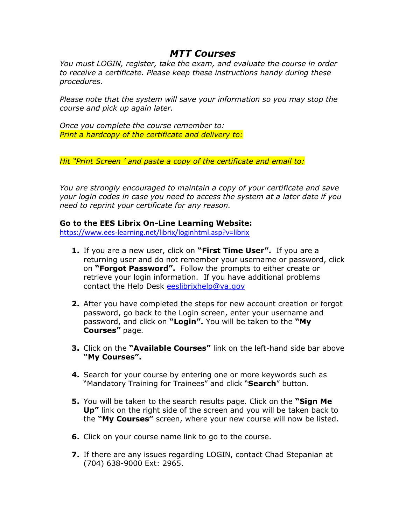## *MTT Courses*

*You must LOGIN, register, take the exam, and evaluate the course in order to receive a certificate. Please keep these instructions handy during these procedures.*

*Please note that the system will save your information so you may stop the course and pick up again later.*

*Once you complete the course remember to: Print a hardcopy of the certificate and delivery to:*

*Hit "Print Screen ' and paste a copy of the certificate and email to:*

*You are strongly encouraged to maintain a copy of your certificate and save your login codes in case you need to access the system at a later date if you need to reprint your certificate for any reason.*

## **Go to the EES Librix On-Line Learning Website:**

<https://www.ees-learning.net/librix/loginhtml.asp?v=librix>

- **1.** If you are a new user, click on **"First Time User".** If you are a returning user and do not remember your username or password, click on **"Forgot Password".** Follow the prompts to either create or retrieve your login information. If you have additional problems contact the Help Desk [eeslibrixhelp@va.gov](mailto:eeslibrixhelp@va.gov)
- **2.** After you have completed the steps for new account creation or forgot password, go back to the Login screen, enter your username and password, and click on **"Login".** You will be taken to the **"My Courses"** page.
- **3.** Click on the **"Available Courses"** link on the left-hand side bar above **"My Courses".**
- **4.** Search for your course by entering one or more keywords such as "Mandatory Training for Trainees" and click "**Search**" button.
- **5.** You will be taken to the search results page. Click on the **"Sign Me Up"** link on the right side of the screen and you will be taken back to the **"My Courses"** screen, where your new course will now be listed.
- **6.** Click on your course name link to go to the course.
- **7.** If there are any issues regarding LOGIN, contact Chad Stepanian at (704) 638-9000 Ext: 2965.